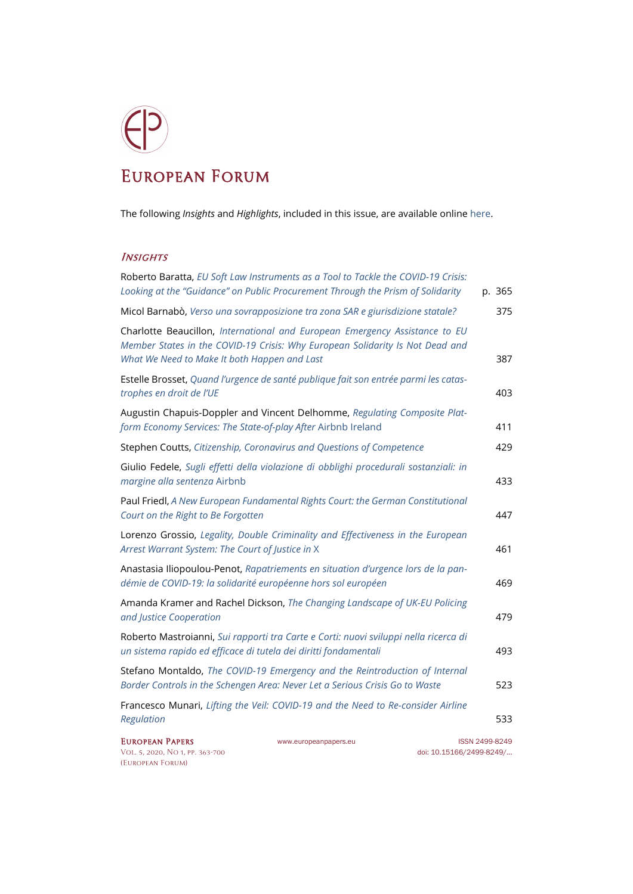## European Forum

The following *Insights* and *Highlights*, included in this issue, are available onlin[e here.](http://www.europeanpapers.eu/en/e-journal/EP_eJ_2020_1_European_Forum)

## **INSIGHTS**

| Roberto Baratta, EU Soft Law Instruments as a Tool to Tackle the COVID-19 Crisis:<br>Looking at the "Guidance" on Public Procurement Through the Prism of Solidarity                                         | p. 365 |
|--------------------------------------------------------------------------------------------------------------------------------------------------------------------------------------------------------------|--------|
| Micol Barnabò, Verso una sovrapposizione tra zona SAR e giurisdizione statale?                                                                                                                               | 375    |
| Charlotte Beaucillon, International and European Emergency Assistance to EU<br>Member States in the COVID-19 Crisis: Why European Solidarity Is Not Dead and<br>What We Need to Make It both Happen and Last | 387    |
| Estelle Brosset, Quand l'urgence de santé publique fait son entrée parmi les catas-<br>trophes en droit de l'UE                                                                                              | 403    |
| Augustin Chapuis-Doppler and Vincent Delhomme, Regulating Composite Plat-<br>form Economy Services: The State-of-play After Airbnb Ireland                                                                   | 411    |
| Stephen Coutts, Citizenship, Coronavirus and Questions of Competence                                                                                                                                         | 429    |
| Giulio Fedele, Sugli effetti della violazione di obblighi procedurali sostanziali: in<br>margine alla sentenza Airbnb                                                                                        | 433    |
| Paul Friedl, A New European Fundamental Rights Court: the German Constitutional<br>Court on the Right to Be Forgotten                                                                                        | 447    |
| Lorenzo Grossio, Legality, Double Criminality and Effectiveness in the European<br>Arrest Warrant System: The Court of Justice in X                                                                          | 461    |
| Anastasia Iliopoulou-Penot, Rapatriements en situation d'urgence lors de la pan-<br>démie de COVID-19: la solidarité européenne hors sol européen                                                            | 469    |
| Amanda Kramer and Rachel Dickson, The Changing Landscape of UK-EU Policing<br>and Justice Cooperation                                                                                                        | 479    |
| Roberto Mastroianni, Sui rapporti tra Carte e Corti: nuovi sviluppi nella ricerca di<br>un sistema rapido ed efficace di tutela dei diritti fondamentali                                                     | 493    |
| Stefano Montaldo, The COVID-19 Emergency and the Reintroduction of Internal<br>Border Controls in the Schengen Area: Never Let a Serious Crisis Go to Waste                                                  | 523    |
| Francesco Munari, Lifting the Veil: COVID-19 and the Need to Re-consider Airline<br>Regulation                                                                                                               | 533    |

VOL. 5, 2020, NO 1, PP. 363-700 [\(European Forum\)](http://www.europeanpapers.eu/en/e-journal/EP_eJ_2020_1_European_Forum)

EUROPEAN PAPERS [www.europeanpapers.eu](http://www.europeanpapers.eu/) ISS[N 2499-8249](https://search.datacite.org/works?query=www.europeanpapers.eu)<br>VOL. 5, 2020, NO 1, PP. 363-700 WWW.europeanpapers.eu doi: 10.15166/2499-8249/...